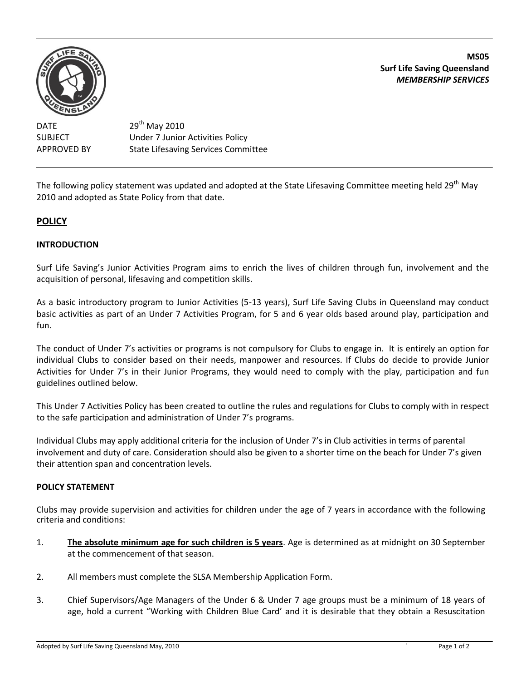

**MS05 Surf Life Saving Queensland** *MEMBERSHIP SERVICES*

DATE 29<sup>th</sup> May 2010 SUBJECT Under 7 Junior Activities Policy APPROVED BY State Lifesaving Services Committee

The following policy statement was updated and adopted at the State Lifesaving Committee meeting held 29<sup>th</sup> May 2010 and adopted as State Policy from that date.

## **POLICY**

## **INTRODUCTION**

Surf Life Saving's Junior Activities Program aims to enrich the lives of children through fun, involvement and the acquisition of personal, lifesaving and competition skills.

As a basic introductory program to Junior Activities (5-13 years), Surf Life Saving Clubs in Queensland may conduct basic activities as part of an Under 7 Activities Program, for 5 and 6 year olds based around play, participation and fun.

The conduct of Under 7's activities or programs is not compulsory for Clubs to engage in. It is entirely an option for individual Clubs to consider based on their needs, manpower and resources. If Clubs do decide to provide Junior Activities for Under 7's in their Junior Programs, they would need to comply with the play, participation and fun guidelines outlined below.

This Under 7 Activities Policy has been created to outline the rules and regulations for Clubs to comply with in respect to the safe participation and administration of Under 7's programs.

Individual Clubs may apply additional criteria for the inclusion of Under 7's in Club activities in terms of parental involvement and duty of care. Consideration should also be given to a shorter time on the beach for Under 7's given their attention span and concentration levels.

## **POLICY STATEMENT**

Clubs may provide supervision and activities for children under the age of 7 years in accordance with the following criteria and conditions:

- 1. **The absolute minimum age for such children is 5 years**. Age is determined as at midnight on 30 September at the commencement of that season.
- 2. All members must complete the SLSA Membership Application Form.
- 3. Chief Supervisors/Age Managers of the Under 6 & Under 7 age groups must be a minimum of 18 years of age, hold a current "Working with Children Blue Card' and it is desirable that they obtain a Resuscitation